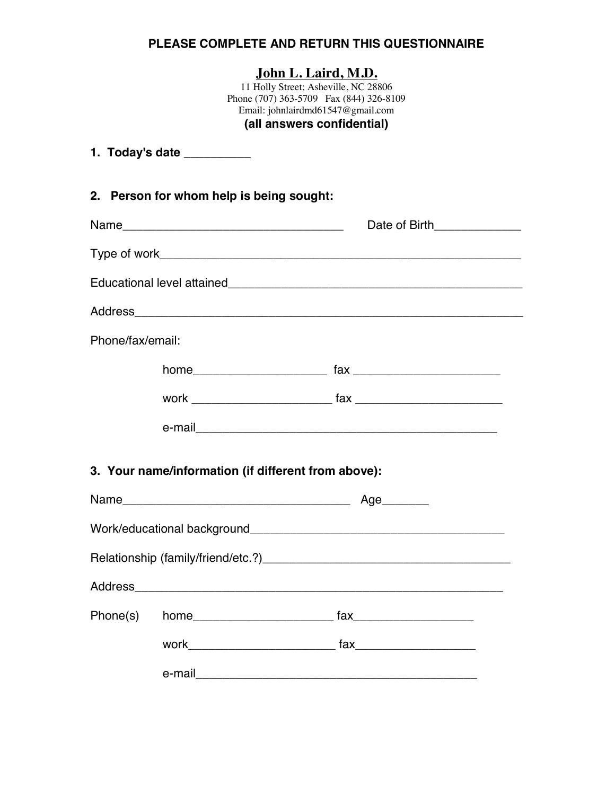## **PLEASE COMPLETE AND RETURN THIS QUESTIONNAIRE**

## **John L. Laird, M.D.**

11 Holly Street; Asheville, NC 28806 Phone (707) 363-5709 Fax (844) 326-8109 Email: johnlairdmd61547@gmail.com **(all answers confidential)**

|                  | 1. Today's date __________                          |                                                                                                                                                                                                                                                                                                               |  |
|------------------|-----------------------------------------------------|---------------------------------------------------------------------------------------------------------------------------------------------------------------------------------------------------------------------------------------------------------------------------------------------------------------|--|
|                  | 2. Person for whom help is being sought:            |                                                                                                                                                                                                                                                                                                               |  |
|                  |                                                     | Date of Birth______________                                                                                                                                                                                                                                                                                   |  |
|                  |                                                     |                                                                                                                                                                                                                                                                                                               |  |
|                  |                                                     |                                                                                                                                                                                                                                                                                                               |  |
|                  |                                                     |                                                                                                                                                                                                                                                                                                               |  |
| Phone/fax/email: |                                                     |                                                                                                                                                                                                                                                                                                               |  |
|                  |                                                     |                                                                                                                                                                                                                                                                                                               |  |
|                  |                                                     |                                                                                                                                                                                                                                                                                                               |  |
|                  |                                                     |                                                                                                                                                                                                                                                                                                               |  |
|                  | 3. Your name/information (if different from above): |                                                                                                                                                                                                                                                                                                               |  |
|                  |                                                     |                                                                                                                                                                                                                                                                                                               |  |
|                  |                                                     |                                                                                                                                                                                                                                                                                                               |  |
|                  |                                                     |                                                                                                                                                                                                                                                                                                               |  |
| <b>Address</b>   |                                                     |                                                                                                                                                                                                                                                                                                               |  |
| Phone(s)         |                                                     | $\mathsf{fax}$ and $\mathsf{fax}$ and $\mathsf{fax}$ and $\mathsf{fax}$ are $\mathsf{fax}$ and $\mathsf{fax}$ are $\mathsf{fax}$ and $\mathsf{fax}$ are $\mathsf{fax}$ and $\mathsf{fax}$ are $\mathsf{fax}$ and $\mathsf{fax}$ are $\mathsf{fax}$ and $\mathsf{fax}$ are $\mathsf{fax}$ and $\mathsf{fax}$ a |  |
|                  |                                                     | work and the state of the state of the state of the state of the state of the state of the state of the state o                                                                                                                                                                                               |  |
|                  | e-mail                                              | <u> 1989 - Johann John Harry Harry Harry Harry Harry Harry Harry Harry Harry Harry Harry Harry Harry Harry Harry H</u>                                                                                                                                                                                        |  |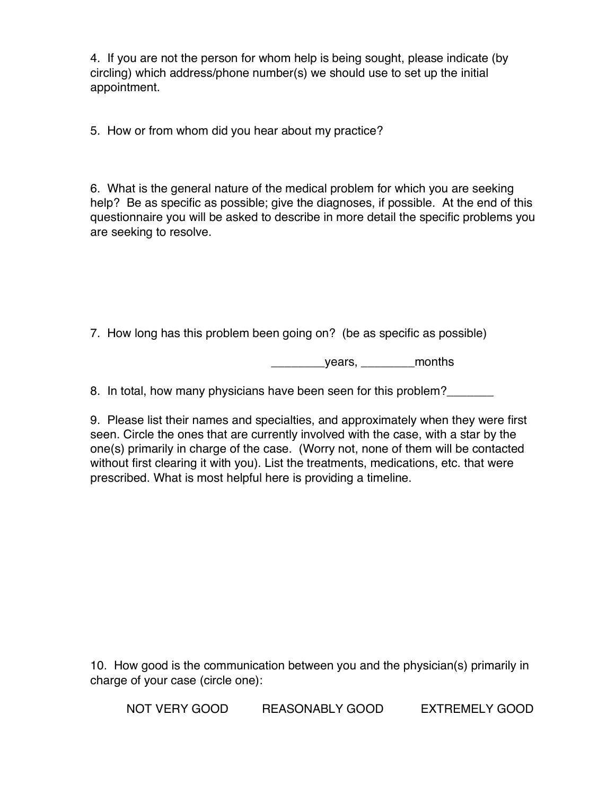4. If you are not the person for whom help is being sought, please indicate (by circling) which address/phone number(s) we should use to set up the initial appointment.

5. How or from whom did you hear about my practice?

6. What is the general nature of the medical problem for which you are seeking help? Be as specific as possible; give the diagnoses, if possible. At the end of this questionnaire you will be asked to describe in more detail the specific problems you are seeking to resolve.

7. How long has this problem been going on? (be as specific as possible)

\_\_\_\_\_\_\_\_years, \_\_\_\_\_\_\_\_months

8. In total, how many physicians have been seen for this problem?

9. Please list their names and specialties, and approximately when they were first seen. Circle the ones that are currently involved with the case, with a star by the one(s) primarily in charge of the case. (Worry not, none of them will be contacted without first clearing it with you). List the treatments, medications, etc. that were prescribed. What is most helpful here is providing a timeline.

10. How good is the communication between you and the physician(s) primarily in charge of your case (circle one):

NOT VERY GOOD REASONABLY GOOD EXTREMELY GOOD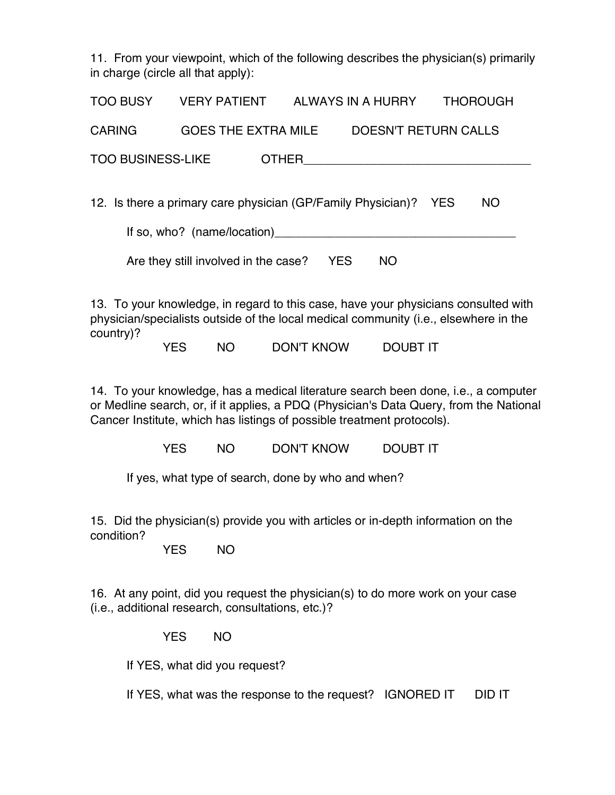11. From your viewpoint, which of the following describes the physician(s) primarily in charge (circle all that apply):

| <b>TOO BUSY</b>                                                         | <b>VERY PATIENT</b>        |  | ALWAYS IN A HURRY           | <b>THOROUGH</b> |  |  |
|-------------------------------------------------------------------------|----------------------------|--|-----------------------------|-----------------|--|--|
| <b>CARING</b>                                                           | <b>GOES THE EXTRA MILE</b> |  | <b>DOESN'T RETURN CALLS</b> |                 |  |  |
| <b>TOO BUSINESS-LIKE</b><br><b>OTHER</b>                                |                            |  |                             |                 |  |  |
|                                                                         |                            |  |                             |                 |  |  |
| 12. Is there a primary care physician (GP/Family Physician)? YES<br>NO. |                            |  |                             |                 |  |  |
| If so, who? (name/location)                                             |                            |  |                             |                 |  |  |

Are they still involved in the case? YES NO

13. To your knowledge, in regard to this case, have your physicians consulted with physician/specialists outside of the local medical community (i.e., elsewhere in the country)?

YES NO DON'T KNOW DOUBT IT

14. To your knowledge, has a medical literature search been done, i.e., a computer or Medline search, or, if it applies, a PDQ (Physician's Data Query, from the National Cancer Institute, which has listings of possible treatment protocols).

YES NO DON'T KNOW DOUBT IT

If yes, what type of search, done by who and when?

15. Did the physician(s) provide you with articles or in-depth information on the condition?

YES NO

16. At any point, did you request the physician(s) to do more work on your case (i.e., additional research, consultations, etc.)?

YES NO

If YES, what did you request?

If YES, what was the response to the request? IGNORED IT DID IT